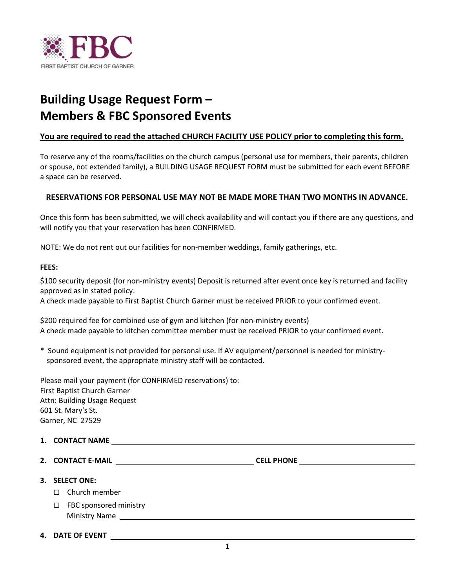

# Building Usage Request Form – Members & FBC Sponsored Events

## You are required to read the attached CHURCH FACILITY USE POLICY prior to completing this form.

To reserve any of the rooms/facilities on the church campus (personal use for members, their parents, children or spouse, not extended family), a BUILDING USAGE REQUEST FORM must be submitted for each event BEFORE a space can be reserved.

### RESERVATIONS FOR PERSONAL USE MAY NOT BE MADE MORE THAN TWO MONTHS IN ADVANCE.

Once this form has been submitted, we will check availability and will contact you if there are any questions, and will notify you that your reservation has been CONFIRMED.

NOTE: We do not rent out our facilities for non-member weddings, family gatherings, etc.

#### FEES:

\$100 security deposit (for non-ministry events) Deposit is returned after event once key is returned and facility approved as in stated policy.

A check made payable to First Baptist Church Garner must be received PRIOR to your confirmed event.

\$200 required fee for combined use of gym and kitchen (for non-ministry events) A check made payable to kitchen committee member must be received PRIOR to your confirmed event.

\* Sound equipment is not provided for personal use. If AV equipment/personnel is needed for ministrysponsored event, the appropriate ministry staff will be contacted.

Please mail your payment (for CONFIRMED reservations) to: First Baptist Church Garner Attn: Building Usage Request 601 St. Mary's St. Garner, NC 27529

- 1. CONTACT NAME
- 2. CONTACT E-MAIL CELL PHONE

3. SELECT ONE:

- □ Church member
- □ FBC sponsored ministry Ministry Name
- 4. DATE OF EVENT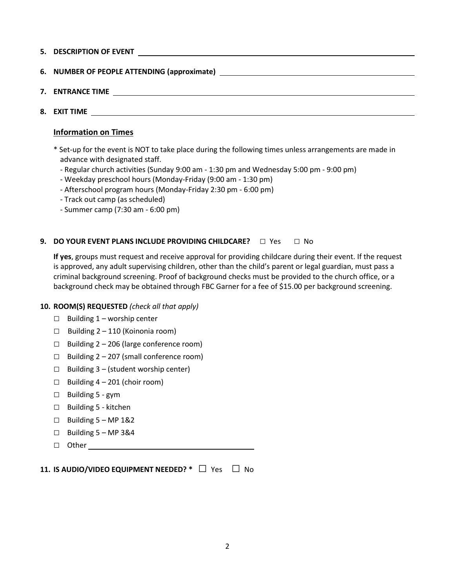- 5. DESCRIPTION OF EVENT
- 6. NUMBER OF PEOPLE ATTENDING (approximate)
- 7. ENTRANCE TIME
- 8. EXIT TIME

#### Information on Times

\* Set-up for the event is NOT to take place during the following times unless arrangements are made in advance with designated staff.

- Regular church activities (Sunday 9:00 am 1:30 pm and Wednesday 5:00 pm 9:00 pm)
- Weekday preschool hours (Monday-Friday (9:00 am 1:30 pm)
- Afterschool program hours (Monday-Friday 2:30 pm 6:00 pm)
- Track out camp (as scheduled)
- Summer camp (7:30 am 6:00 pm)

#### 9. DO YOUR EVENT PLANS INCLUDE PROVIDING CHILDCARE? □ Yes □ No

If yes, groups must request and receive approval for providing childcare during their event. If the request is approved, any adult supervising children, other than the child's parent or legal guardian, must pass a criminal background screening. Proof of background checks must be provided to the church office, or a background check may be obtained through FBC Garner for a fee of \$15.00 per background screening.

#### 10. ROOM(S) REQUESTED (check all that apply)

- $\Box$  Building 1 worship center
- $\Box$  Building 2 110 (Koinonia room)
- $\Box$  Building 2 206 (large conference room)
- $\Box$  Building 2 207 (small conference room)
- $\Box$  Building 3 (student worship center)
- $\Box$  Building 4 201 (choir room)
- □ Building 5 gym
- □ Building 5 kitchen
- $\Box$  Building 5 MP 1&2
- $\Box$  Building 5 MP 3&4
- □ Other

| 11. IS AUDIO/VIDEO EQUIPMENT NEEDED? $^*$ $\square$ Yes $\square$ No |  |
|----------------------------------------------------------------------|--|
|                                                                      |  |